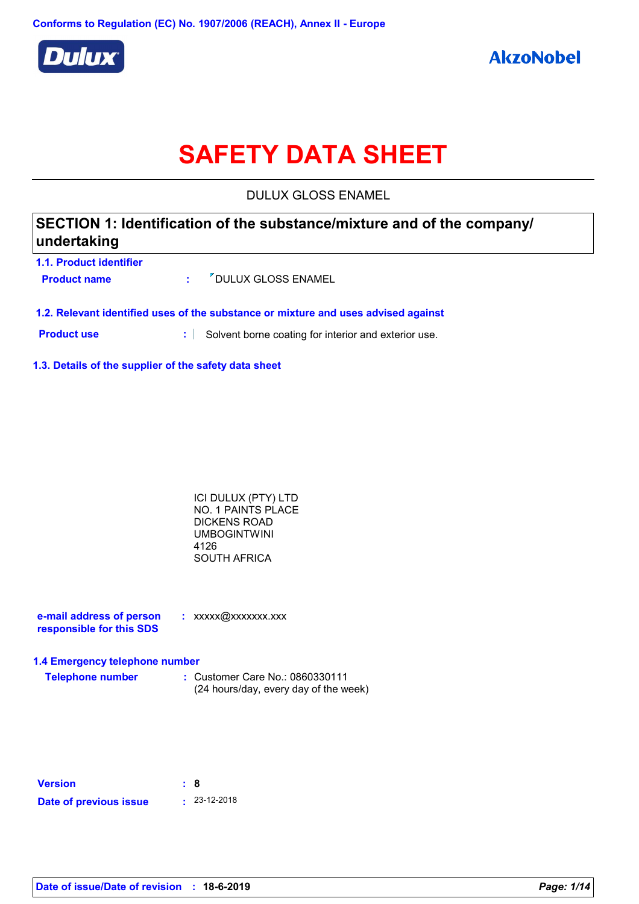

# **SAFETY DATA SHEET**

DULUX GLOSS ENAMEL

| SECTION 1: Identification of the substance/mixture and of the company/<br>undertaking |                |                                                                                    |  |
|---------------------------------------------------------------------------------------|----------------|------------------------------------------------------------------------------------|--|
| 1.1. Product identifier<br><b>Product name</b>                                        | <b>British</b> | <b><i>V</i></b> DULUX GLOSS ENAMEL                                                 |  |
|                                                                                       |                | 1.2. Relevant identified uses of the substance or mixture and uses advised against |  |

**Product use :** Solvent borne coating for interior and exterior use.

**1.3. Details of the supplier of the safety data sheet**

ICI DULUX (PTY) LTD NO. 1 PAINTS PLACE DICKENS ROAD UMBOGINTWINI 4126 SOUTH AFRICA

**e-mail address of person responsible for this SDS :** xxxxx@xxxxxxx.xxx

### **1.4 Emergency telephone number**

**Telephone number :** Customer Care No.: 0860330111 (24 hours/day, every day of the week)

| <b>Version</b>         | : 8 |                    |
|------------------------|-----|--------------------|
| Date of previous issue |     | $\cdot$ 23-12-2018 |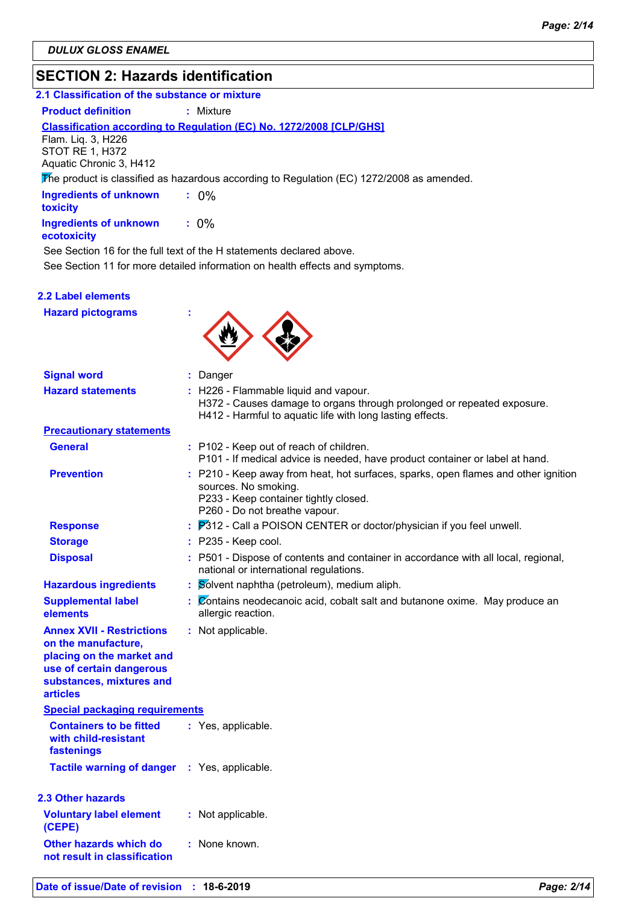# **SECTION 2: Hazards identification**

### **2.1 Classification of the substance or mixture**

**Product definition : Mixture** 

### **Classification according to Regulation (EC) No. 1272/2008 [CLP/GHS]**

Flam. Liq. 3, H226 STOT RE 1, H372 Aquatic Chronic 3, H412

The product is classified as hazardous according to Regulation (EC) 1272/2008 as amended.

| <b>Ingredients of unknown</b><br>toxicity    | $: 0\%$ |
|----------------------------------------------|---------|
| <b>Ingredients of unknown</b><br>ecotoxicity | $: 0\%$ |

See Section 16 for the full text of the H statements declared above.

See Section 11 for more detailed information on health effects and symptoms.

### **2.2 Label elements**

**Hazard pictograms :**



| <b>Signal word</b>                                                                                                                                              | : Danger                                                                                                                                                                             |
|-----------------------------------------------------------------------------------------------------------------------------------------------------------------|--------------------------------------------------------------------------------------------------------------------------------------------------------------------------------------|
| <b>Hazard statements</b>                                                                                                                                        | : H226 - Flammable liquid and vapour.<br>H372 - Causes damage to organs through prolonged or repeated exposure.<br>H412 - Harmful to aquatic life with long lasting effects.         |
| <b>Precautionary statements</b>                                                                                                                                 |                                                                                                                                                                                      |
| <b>General</b>                                                                                                                                                  | : P102 - Keep out of reach of children.<br>P101 - If medical advice is needed, have product container or label at hand.                                                              |
| <b>Prevention</b>                                                                                                                                               | : P210 - Keep away from heat, hot surfaces, sparks, open flames and other ignition<br>sources. No smoking.<br>P233 - Keep container tightly closed.<br>P260 - Do not breathe vapour. |
| <b>Response</b>                                                                                                                                                 | <b>P</b> 312 - Call a POISON CENTER or doctor/physician if you feel unwell.                                                                                                          |
| <b>Storage</b>                                                                                                                                                  | $:$ P235 - Keep cool.                                                                                                                                                                |
| <b>Disposal</b>                                                                                                                                                 | : P501 - Dispose of contents and container in accordance with all local, regional,<br>national or international regulations.                                                         |
| <b>Hazardous ingredients</b>                                                                                                                                    | : Solvent naphtha (petroleum), medium aliph.                                                                                                                                         |
| <b>Supplemental label</b><br>elements                                                                                                                           | : Contains neodecanoic acid, cobalt salt and butanone oxime. May produce an<br>allergic reaction.                                                                                    |
| <b>Annex XVII - Restrictions</b><br>on the manufacture,<br>placing on the market and<br>use of certain dangerous<br>substances, mixtures and<br><b>articles</b> | : Not applicable.                                                                                                                                                                    |
| <b>Special packaging requirements</b>                                                                                                                           |                                                                                                                                                                                      |
| <b>Containers to be fitted</b><br>with child-resistant<br>fastenings                                                                                            | : Yes, applicable.                                                                                                                                                                   |
| <b>Tactile warning of danger : Yes, applicable.</b>                                                                                                             |                                                                                                                                                                                      |
| 2.3 Other hazards                                                                                                                                               |                                                                                                                                                                                      |
| <b>Voluntary label element</b><br>(CEPE)                                                                                                                        | : Not applicable.                                                                                                                                                                    |
| Other hazards which do<br>not result in classification                                                                                                          | : None known.                                                                                                                                                                        |
|                                                                                                                                                                 |                                                                                                                                                                                      |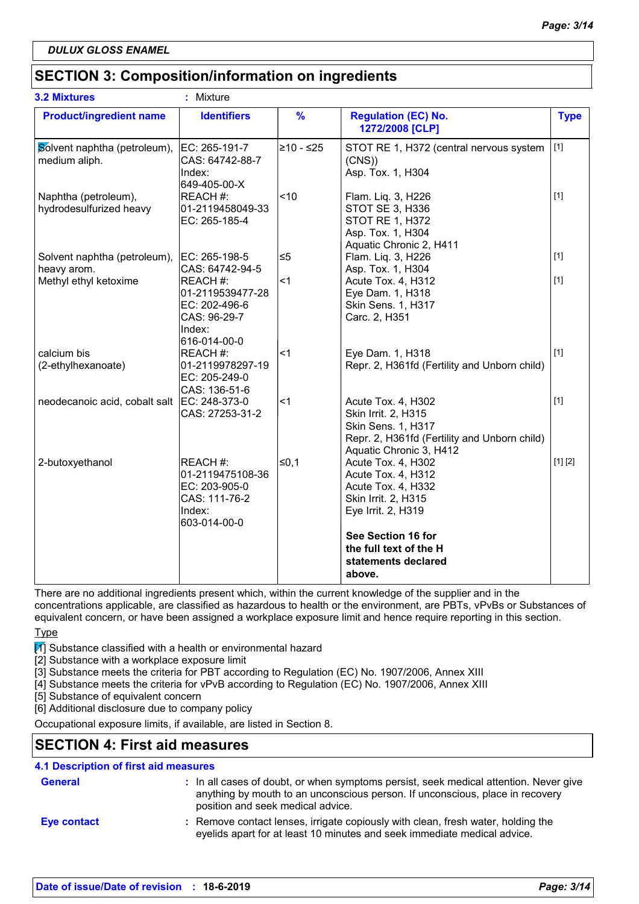# **SECTION 3: Composition/information on ingredients**

| <b>3.2 Mixtures</b>                             | ŧ.<br>Mixture                                                                                              |               |                                                                                                                                                                                    |             |
|-------------------------------------------------|------------------------------------------------------------------------------------------------------------|---------------|------------------------------------------------------------------------------------------------------------------------------------------------------------------------------------|-------------|
| <b>Product/ingredient name</b>                  | <b>Identifiers</b>                                                                                         | $\frac{9}{6}$ | <b>Regulation (EC) No.</b><br>1272/2008 [CLP]                                                                                                                                      | <b>Type</b> |
| Solvent naphtha (petroleum),<br>medium aliph.   | EC: 265-191-7<br>CAS: 64742-88-7<br>Index:<br>649-405-00-X                                                 | l≥10 - ≤25    | STOT RE 1, H372 (central nervous system<br>(CNS)<br>Asp. Tox. 1, H304                                                                                                              | $[1]$       |
| Naphtha (petroleum),<br>hydrodesulfurized heavy | REACH #:<br>01-2119458049-33<br>EC: 265-185-4                                                              | ~10           | Flam. Liq. 3, H226<br>STOT SE 3, H336<br>STOT RE 1, H372<br>Asp. Tox. 1, H304<br>Aquatic Chronic 2, H411                                                                           | $[1]$       |
| Solvent naphtha (petroleum),                    | EC: 265-198-5                                                                                              | l≤5           | Flam. Liq. 3, H226                                                                                                                                                                 | $[1]$       |
| heavy arom.<br>Methyl ethyl ketoxime            | CAS: 64742-94-5<br>REACH #:<br>01-2119539477-28<br>EC: 202-496-6<br>CAS: 96-29-7<br>Index:<br>616-014-00-0 | <1            | Asp. Tox. 1, H304<br>Acute Tox. 4, H312<br>Eye Dam. 1, H318<br>Skin Sens. 1, H317<br>Carc. 2, H351                                                                                 | $[1]$       |
| calcium bis<br>(2-ethylhexanoate)               | REACH #:<br>01-2119978297-19<br>EC: 205-249-0<br>CAS: 136-51-6                                             | ∣<1           | Eye Dam. 1, H318<br>Repr. 2, H361fd (Fertility and Unborn child)                                                                                                                   | $[1]$       |
| neodecanoic acid, cobalt salt                   | EC: 248-373-0<br>CAS: 27253-31-2                                                                           | ∣<1           | Acute Tox. 4, H302<br>Skin Irrit. 2, H315<br>Skin Sens. 1, H317<br>Repr. 2, H361fd (Fertility and Unborn child)<br>Aquatic Chronic 3, H412                                         | $[1]$       |
| 2-butoxyethanol                                 | REACH #:<br>01-2119475108-36<br>EC: 203-905-0<br>CAS: 111-76-2<br>Index:<br>603-014-00-0                   | l≤0,1         | Acute Tox. 4, H302<br>Acute Tox. 4, H312<br>Acute Tox. 4, H332<br>Skin Irrit. 2, H315<br>Eye Irrit. 2, H319<br>See Section 16 for<br>the full text of the H<br>statements declared | [1] [2]     |

There are no additional ingredients present which, within the current knowledge of the supplier and in the concentrations applicable, are classified as hazardous to health or the environment, are PBTs, vPvBs or Substances of equivalent concern, or have been assigned a workplace exposure limit and hence require reporting in this section.

Type

 $\mathcal{I}$  Substance classified with a health or environmental hazard

[2] Substance with a workplace exposure limit

[3] Substance meets the criteria for PBT according to Regulation (EC) No. 1907/2006, Annex XIII

[4] Substance meets the criteria for vPvB according to Regulation (EC) No. 1907/2006, Annex XIII

[5] Substance of equivalent concern

[6] Additional disclosure due to company policy

Occupational exposure limits, if available, are listed in Section 8.

# **SECTION 4: First aid measures**

### **4.1 Description of first aid measures**

| <b>General</b>     | : In all cases of doubt, or when symptoms persist, seek medical attention. Never give<br>anything by mouth to an unconscious person. If unconscious, place in recovery<br>position and seek medical advice. |
|--------------------|-------------------------------------------------------------------------------------------------------------------------------------------------------------------------------------------------------------|
| <b>Eve contact</b> | : Remove contact lenses, irrigate copiously with clean, fresh water, holding the<br>eyelids apart for at least 10 minutes and seek immediate medical advice.                                                |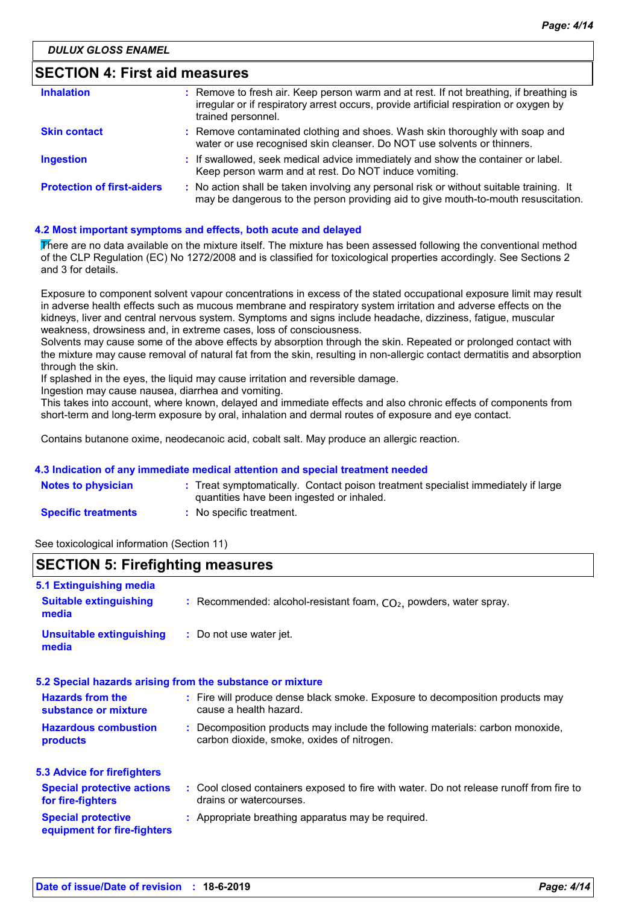# **SECTION 4: First aid measures**

| <b>Inhalation</b>                 | : Remove to fresh air. Keep person warm and at rest. If not breathing, if breathing is<br>irregular or if respiratory arrest occurs, provide artificial respiration or oxygen by<br>trained personnel. |
|-----------------------------------|--------------------------------------------------------------------------------------------------------------------------------------------------------------------------------------------------------|
| <b>Skin contact</b>               | : Remove contaminated clothing and shoes. Wash skin thoroughly with soap and<br>water or use recognised skin cleanser. Do NOT use solvents or thinners.                                                |
| <b>Ingestion</b>                  | : If swallowed, seek medical advice immediately and show the container or label.<br>Keep person warm and at rest. Do NOT induce vomiting.                                                              |
| <b>Protection of first-aiders</b> | : No action shall be taken involving any personal risk or without suitable training. It<br>may be dangerous to the person providing aid to give mouth-to-mouth resuscitation.                          |

### **4.2 Most important symptoms and effects, both acute and delayed**

There are no data available on the mixture itself. The mixture has been assessed following the conventional method of the CLP Regulation (EC) No 1272/2008 and is classified for toxicological properties accordingly. See Sections 2 and 3 for details.

Exposure to component solvent vapour concentrations in excess of the stated occupational exposure limit may result in adverse health effects such as mucous membrane and respiratory system irritation and adverse effects on the kidneys, liver and central nervous system. Symptoms and signs include headache, dizziness, fatigue, muscular weakness, drowsiness and, in extreme cases, loss of consciousness.

Solvents may cause some of the above effects by absorption through the skin. Repeated or prolonged contact with the mixture may cause removal of natural fat from the skin, resulting in non-allergic contact dermatitis and absorption through the skin.

If splashed in the eyes, the liquid may cause irritation and reversible damage.

Ingestion may cause nausea, diarrhea and vomiting.

This takes into account, where known, delayed and immediate effects and also chronic effects of components from short-term and long-term exposure by oral, inhalation and dermal routes of exposure and eye contact.

Contains butanone oxime, neodecanoic acid, cobalt salt. May produce an allergic reaction.

### **4.3 Indication of any immediate medical attention and special treatment needed**

| <b>Notes to physician</b>  | : Treat symptomatically. Contact poison treatment specialist immediately if large<br>quantities have been ingested or inhaled. |
|----------------------------|--------------------------------------------------------------------------------------------------------------------------------|
| <b>Specific treatments</b> | No specific treatment.                                                                                                         |

See toxicological information (Section 11)

### **SECTION 5: Firefighting measures**

| 5.1 Extinguishing media                                  |                                                                                                                              |
|----------------------------------------------------------|------------------------------------------------------------------------------------------------------------------------------|
| <b>Suitable extinguishing</b><br>media                   | : Recommended: alcohol-resistant foam, $CO2$ , powders, water spray.                                                         |
| <b>Unsuitable extinguishing</b><br>media                 | : Do not use water jet.                                                                                                      |
|                                                          | 5.2 Special hazards arising from the substance or mixture                                                                    |
| <b>Hazards from the</b><br>substance or mixture          | : Fire will produce dense black smoke. Exposure to decomposition products may<br>cause a health hazard.                      |
| <b>Hazardous combustion</b><br>products                  | : Decomposition products may include the following materials: carbon monoxide,<br>carbon dioxide, smoke, oxides of nitrogen. |
| <b>5.3 Advice for firefighters</b>                       |                                                                                                                              |
| <b>Special protective actions</b><br>for fire-fighters   | : Cool closed containers exposed to fire with water. Do not release runoff from fire to<br>drains or watercourses.           |
| <b>Special protective</b><br>equipment for fire-fighters | : Appropriate breathing apparatus may be required.                                                                           |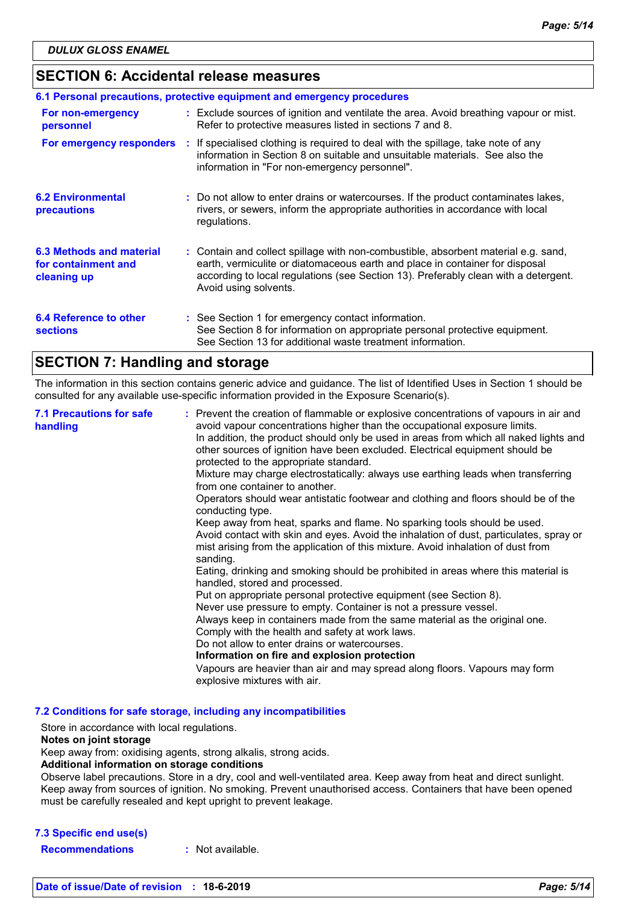# **SECTION 6: Accidental release measures**

| 6.1 Personal precautions, protective equipment and emergency procedures |  |                                                                                                                                                                                                                                                                                    |  |
|-------------------------------------------------------------------------|--|------------------------------------------------------------------------------------------------------------------------------------------------------------------------------------------------------------------------------------------------------------------------------------|--|
| For non-emergency<br>personnel                                          |  | : Exclude sources of ignition and ventilate the area. Avoid breathing vapour or mist.<br>Refer to protective measures listed in sections 7 and 8.                                                                                                                                  |  |
| For emergency responders                                                |  | : If specialised clothing is required to deal with the spillage, take note of any<br>information in Section 8 on suitable and unsuitable materials. See also the<br>information in "For non-emergency personnel".                                                                  |  |
| <b>6.2 Environmental</b><br>precautions                                 |  | : Do not allow to enter drains or watercourses. If the product contaminates lakes,<br>rivers, or sewers, inform the appropriate authorities in accordance with local<br>regulations.                                                                                               |  |
| 6.3 Methods and material<br>for containment and<br>cleaning up          |  | : Contain and collect spillage with non-combustible, absorbent material e.g. sand,<br>earth, vermiculite or diatomaceous earth and place in container for disposal<br>according to local regulations (see Section 13). Preferably clean with a detergent.<br>Avoid using solvents. |  |
| 6.4 Reference to other<br><b>sections</b>                               |  | : See Section 1 for emergency contact information.<br>See Section 8 for information on appropriate personal protective equipment.<br>See Section 13 for additional waste treatment information.                                                                                    |  |

# **SECTION 7: Handling and storage**

The information in this section contains generic advice and guidance. The list of Identified Uses in Section 1 should be consulted for any available use-specific information provided in the Exposure Scenario(s).

| <b>7.1 Precautions for safe</b><br>handling | : Prevent the creation of flammable or explosive concentrations of vapours in air and<br>avoid vapour concentrations higher than the occupational exposure limits.<br>In addition, the product should only be used in areas from which all naked lights and<br>other sources of ignition have been excluded. Electrical equipment should be<br>protected to the appropriate standard.<br>Mixture may charge electrostatically: always use earthing leads when transferring<br>from one container to another.<br>Operators should wear antistatic footwear and clothing and floors should be of the<br>conducting type.<br>Keep away from heat, sparks and flame. No sparking tools should be used.<br>Avoid contact with skin and eyes. Avoid the inhalation of dust, particulates, spray or<br>mist arising from the application of this mixture. Avoid inhalation of dust from<br>sanding.<br>Eating, drinking and smoking should be prohibited in areas where this material is<br>handled, stored and processed.<br>Put on appropriate personal protective equipment (see Section 8).<br>Never use pressure to empty. Container is not a pressure vessel.<br>Always keep in containers made from the same material as the original one.<br>Comply with the health and safety at work laws.<br>Do not allow to enter drains or watercourses.<br>Information on fire and explosion protection<br>Vapours are heavier than air and may spread along floors. Vapours may form<br>explosive mixtures with air. |
|---------------------------------------------|--------------------------------------------------------------------------------------------------------------------------------------------------------------------------------------------------------------------------------------------------------------------------------------------------------------------------------------------------------------------------------------------------------------------------------------------------------------------------------------------------------------------------------------------------------------------------------------------------------------------------------------------------------------------------------------------------------------------------------------------------------------------------------------------------------------------------------------------------------------------------------------------------------------------------------------------------------------------------------------------------------------------------------------------------------------------------------------------------------------------------------------------------------------------------------------------------------------------------------------------------------------------------------------------------------------------------------------------------------------------------------------------------------------------------------------------------------------------------------------------------------------|
|---------------------------------------------|--------------------------------------------------------------------------------------------------------------------------------------------------------------------------------------------------------------------------------------------------------------------------------------------------------------------------------------------------------------------------------------------------------------------------------------------------------------------------------------------------------------------------------------------------------------------------------------------------------------------------------------------------------------------------------------------------------------------------------------------------------------------------------------------------------------------------------------------------------------------------------------------------------------------------------------------------------------------------------------------------------------------------------------------------------------------------------------------------------------------------------------------------------------------------------------------------------------------------------------------------------------------------------------------------------------------------------------------------------------------------------------------------------------------------------------------------------------------------------------------------------------|

**7.2 Conditions for safe storage, including any incompatibilities**

Store in accordance with local regulations.

### **Notes on joint storage**

Keep away from: oxidising agents, strong alkalis, strong acids.

**Additional information on storage conditions**

Observe label precautions. Store in a dry, cool and well-ventilated area. Keep away from heat and direct sunlight. Keep away from sources of ignition. No smoking. Prevent unauthorised access. Containers that have been opened must be carefully resealed and kept upright to prevent leakage.

### **7.3 Specific end use(s)**

**Recommendations :** Not available.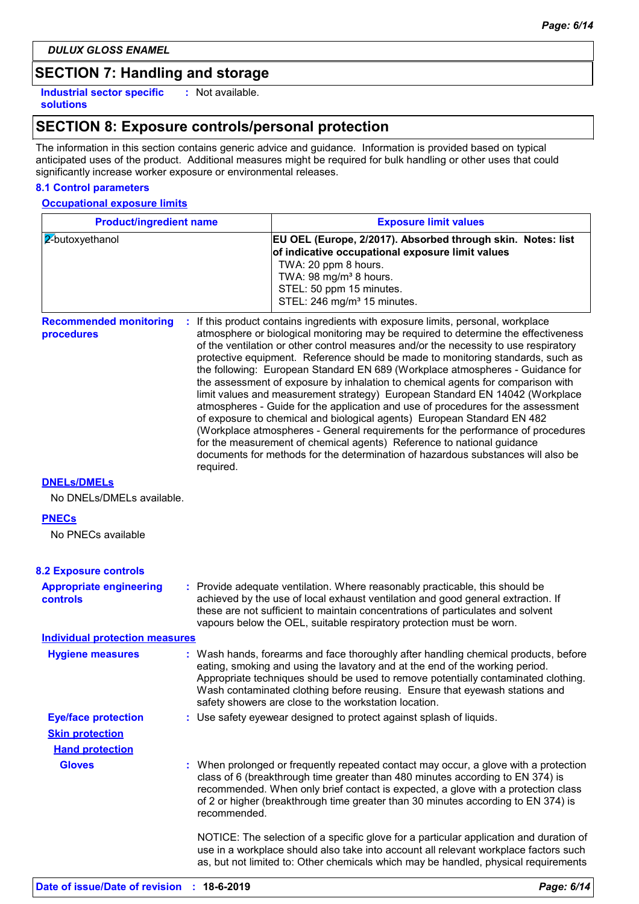*DULUX GLOSS ENAMEL*

# **SECTION 7: Handling and storage**

**Industrial sector specific : solutions**

: Not available.

# **SECTION 8: Exposure controls/personal protection**

The information in this section contains generic advice and guidance. Information is provided based on typical anticipated uses of the product. Additional measures might be required for bulk handling or other uses that could significantly increase worker exposure or environmental releases.

### **8.1 Control parameters**

**Occupational exposure limits**

| <b>Product/ingredient name</b>                    |              | <b>Exposure limit values</b>                                                                                                                                                                                                                                                                                                                                                                                                                                                                                                                                                                                                                                                                                                                                                                                                                                                                                                                                                                                        |
|---------------------------------------------------|--------------|---------------------------------------------------------------------------------------------------------------------------------------------------------------------------------------------------------------------------------------------------------------------------------------------------------------------------------------------------------------------------------------------------------------------------------------------------------------------------------------------------------------------------------------------------------------------------------------------------------------------------------------------------------------------------------------------------------------------------------------------------------------------------------------------------------------------------------------------------------------------------------------------------------------------------------------------------------------------------------------------------------------------|
| 2-butoxyethanol                                   |              | EU OEL (Europe, 2/2017). Absorbed through skin. Notes: list<br>of indicative occupational exposure limit values<br>TWA: 20 ppm 8 hours.<br>TWA: 98 mg/m <sup>3</sup> 8 hours.<br>STEL: 50 ppm 15 minutes.<br>STEL: 246 mg/m <sup>3</sup> 15 minutes.                                                                                                                                                                                                                                                                                                                                                                                                                                                                                                                                                                                                                                                                                                                                                                |
| <b>Recommended monitoring</b><br>procedures       | required.    | If this product contains ingredients with exposure limits, personal, workplace<br>atmosphere or biological monitoring may be required to determine the effectiveness<br>of the ventilation or other control measures and/or the necessity to use respiratory<br>protective equipment. Reference should be made to monitoring standards, such as<br>the following: European Standard EN 689 (Workplace atmospheres - Guidance for<br>the assessment of exposure by inhalation to chemical agents for comparison with<br>limit values and measurement strategy) European Standard EN 14042 (Workplace<br>atmospheres - Guide for the application and use of procedures for the assessment<br>of exposure to chemical and biological agents) European Standard EN 482<br>(Workplace atmospheres - General requirements for the performance of procedures<br>for the measurement of chemical agents) Reference to national guidance<br>documents for methods for the determination of hazardous substances will also be |
| <b>DNELS/DMELS</b><br>No DNELs/DMELs available.   |              |                                                                                                                                                                                                                                                                                                                                                                                                                                                                                                                                                                                                                                                                                                                                                                                                                                                                                                                                                                                                                     |
| <b>PNECs</b><br>No PNECs available                |              |                                                                                                                                                                                                                                                                                                                                                                                                                                                                                                                                                                                                                                                                                                                                                                                                                                                                                                                                                                                                                     |
| <b>8.2 Exposure controls</b>                      |              |                                                                                                                                                                                                                                                                                                                                                                                                                                                                                                                                                                                                                                                                                                                                                                                                                                                                                                                                                                                                                     |
| <b>Appropriate engineering</b><br><b>controls</b> |              | : Provide adequate ventilation. Where reasonably practicable, this should be<br>achieved by the use of local exhaust ventilation and good general extraction. If<br>these are not sufficient to maintain concentrations of particulates and solvent<br>vapours below the OEL, suitable respiratory protection must be worn.                                                                                                                                                                                                                                                                                                                                                                                                                                                                                                                                                                                                                                                                                         |
| <b>Individual protection measures</b>             |              |                                                                                                                                                                                                                                                                                                                                                                                                                                                                                                                                                                                                                                                                                                                                                                                                                                                                                                                                                                                                                     |
| <b>Hygiene measures</b>                           |              | : Wash hands, forearms and face thoroughly after handling chemical products, before<br>eating, smoking and using the lavatory and at the end of the working period.<br>Appropriate techniques should be used to remove potentially contaminated clothing.<br>Wash contaminated clothing before reusing. Ensure that eyewash stations and<br>safety showers are close to the workstation location.                                                                                                                                                                                                                                                                                                                                                                                                                                                                                                                                                                                                                   |
| <b>Eye/face protection</b>                        |              | : Use safety eyewear designed to protect against splash of liquids.                                                                                                                                                                                                                                                                                                                                                                                                                                                                                                                                                                                                                                                                                                                                                                                                                                                                                                                                                 |
| <b>Skin protection</b>                            |              |                                                                                                                                                                                                                                                                                                                                                                                                                                                                                                                                                                                                                                                                                                                                                                                                                                                                                                                                                                                                                     |
| <b>Hand protection</b>                            |              |                                                                                                                                                                                                                                                                                                                                                                                                                                                                                                                                                                                                                                                                                                                                                                                                                                                                                                                                                                                                                     |
| <b>Gloves</b>                                     | recommended. | : When prolonged or frequently repeated contact may occur, a glove with a protection<br>class of 6 (breakthrough time greater than 480 minutes according to EN 374) is<br>recommended. When only brief contact is expected, a glove with a protection class<br>of 2 or higher (breakthrough time greater than 30 minutes according to EN 374) is                                                                                                                                                                                                                                                                                                                                                                                                                                                                                                                                                                                                                                                                    |
|                                                   |              | NOTICE: The selection of a specific glove for a particular application and duration of<br>use in a workplace should also take into account all relevant workplace factors such<br>as, but not limited to: Other chemicals which may be handled, physical requirements                                                                                                                                                                                                                                                                                                                                                                                                                                                                                                                                                                                                                                                                                                                                               |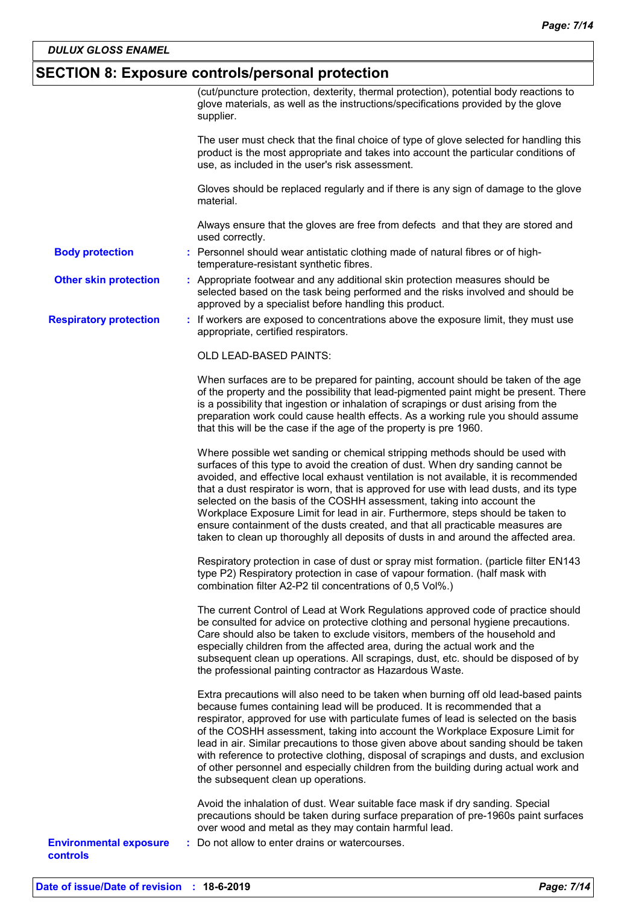# **SECTION 8: Exposure controls/personal protection**

|                                                  | (cut/puncture protection, dexterity, thermal protection), potential body reactions to<br>glove materials, as well as the instructions/specifications provided by the glove<br>supplier.                                                                                                                                                                                                                                                                                                                                                                                                                                                                                                 |
|--------------------------------------------------|-----------------------------------------------------------------------------------------------------------------------------------------------------------------------------------------------------------------------------------------------------------------------------------------------------------------------------------------------------------------------------------------------------------------------------------------------------------------------------------------------------------------------------------------------------------------------------------------------------------------------------------------------------------------------------------------|
|                                                  | The user must check that the final choice of type of glove selected for handling this<br>product is the most appropriate and takes into account the particular conditions of<br>use, as included in the user's risk assessment.                                                                                                                                                                                                                                                                                                                                                                                                                                                         |
|                                                  | Gloves should be replaced regularly and if there is any sign of damage to the glove<br>material.                                                                                                                                                                                                                                                                                                                                                                                                                                                                                                                                                                                        |
|                                                  | Always ensure that the gloves are free from defects and that they are stored and<br>used correctly.                                                                                                                                                                                                                                                                                                                                                                                                                                                                                                                                                                                     |
| <b>Body protection</b>                           | : Personnel should wear antistatic clothing made of natural fibres or of high-<br>temperature-resistant synthetic fibres.                                                                                                                                                                                                                                                                                                                                                                                                                                                                                                                                                               |
| <b>Other skin protection</b>                     | : Appropriate footwear and any additional skin protection measures should be<br>selected based on the task being performed and the risks involved and should be<br>approved by a specialist before handling this product.                                                                                                                                                                                                                                                                                                                                                                                                                                                               |
| <b>Respiratory protection</b>                    | : If workers are exposed to concentrations above the exposure limit, they must use<br>appropriate, certified respirators.                                                                                                                                                                                                                                                                                                                                                                                                                                                                                                                                                               |
|                                                  | OLD LEAD-BASED PAINTS:                                                                                                                                                                                                                                                                                                                                                                                                                                                                                                                                                                                                                                                                  |
|                                                  | When surfaces are to be prepared for painting, account should be taken of the age<br>of the property and the possibility that lead-pigmented paint might be present. There<br>is a possibility that ingestion or inhalation of scrapings or dust arising from the<br>preparation work could cause health effects. As a working rule you should assume<br>that this will be the case if the age of the property is pre 1960.                                                                                                                                                                                                                                                             |
|                                                  | Where possible wet sanding or chemical stripping methods should be used with<br>surfaces of this type to avoid the creation of dust. When dry sanding cannot be<br>avoided, and effective local exhaust ventilation is not available, it is recommended<br>that a dust respirator is worn, that is approved for use with lead dusts, and its type<br>selected on the basis of the COSHH assessment, taking into account the<br>Workplace Exposure Limit for lead in air. Furthermore, steps should be taken to<br>ensure containment of the dusts created, and that all practicable measures are<br>taken to clean up thoroughly all deposits of dusts in and around the affected area. |
|                                                  | Respiratory protection in case of dust or spray mist formation. (particle filter EN143<br>type P2) Respiratory protection in case of vapour formation. (half mask with<br>combination filter A2-P2 til concentrations of 0,5 Vol%.)                                                                                                                                                                                                                                                                                                                                                                                                                                                     |
|                                                  | The current Control of Lead at Work Regulations approved code of practice should<br>be consulted for advice on protective clothing and personal hygiene precautions.<br>Care should also be taken to exclude visitors, members of the household and<br>especially children from the affected area, during the actual work and the<br>subsequent clean up operations. All scrapings, dust, etc. should be disposed of by<br>the professional painting contractor as Hazardous Waste.                                                                                                                                                                                                     |
|                                                  | Extra precautions will also need to be taken when burning off old lead-based paints<br>because fumes containing lead will be produced. It is recommended that a<br>respirator, approved for use with particulate fumes of lead is selected on the basis<br>of the COSHH assessment, taking into account the Workplace Exposure Limit for<br>lead in air. Similar precautions to those given above about sanding should be taken<br>with reference to protective clothing, disposal of scrapings and dusts, and exclusion<br>of other personnel and especially children from the building during actual work and<br>the subsequent clean up operations.                                  |
|                                                  | Avoid the inhalation of dust. Wear suitable face mask if dry sanding. Special<br>precautions should be taken during surface preparation of pre-1960s paint surfaces<br>over wood and metal as they may contain harmful lead.                                                                                                                                                                                                                                                                                                                                                                                                                                                            |
| <b>Environmental exposure</b><br><b>controls</b> | Do not allow to enter drains or watercourses.                                                                                                                                                                                                                                                                                                                                                                                                                                                                                                                                                                                                                                           |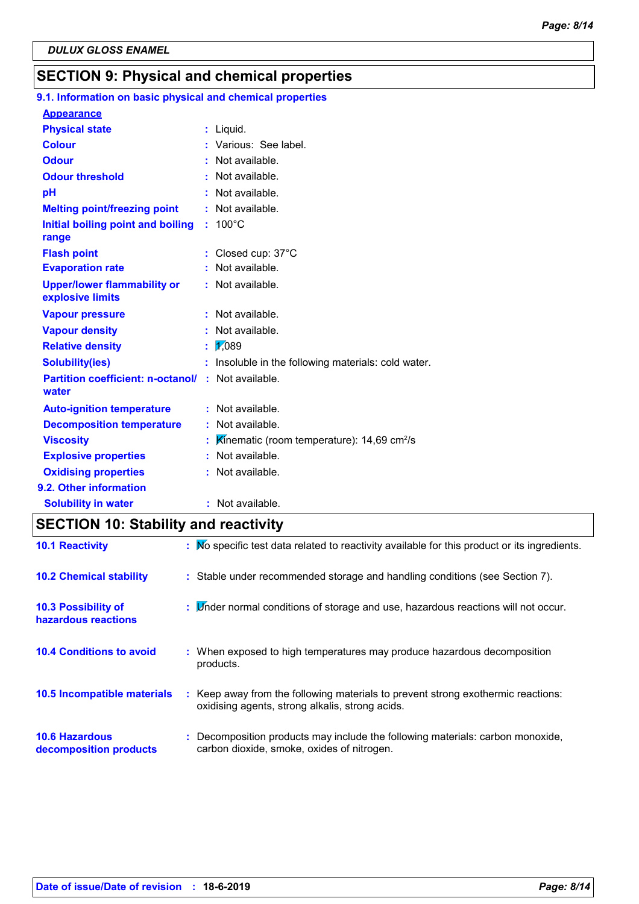# **SECTION 9: Physical and chemical properties**

#### 100°C **Initial boiling point and boiling : Physical state Melting point/freezing point range Vapour pressure Relative density Vapour density Solubility(ies)** Liquid. **: :** Not available. 1,089 **: :** Not available. **:** Not available. **:** Insoluble in the following materials: cold water. **Odour** : Not available. **pH Colour Evaporation rate Auto-ignition temperature Flash point :** Not available. Closed cup: 37°C **: :** Not available. **:** Not available. **Partition coefficient: n-octanol/ :** Not available. **:** Not available. **Viscosity Kinematic (room temperature): 14,69 cm<sup>2</sup>/s Odour threshold water Upper/lower flammability or explosive limits Explosive properties :** Various: See label. **:** Not available. : Not available. **Oxidising properties** : Not available. **9.1. Information on basic physical and chemical properties Appearance 9.2. Other information Decomposition temperature :** Not available. **Solubility in water :** Not available.

# **SECTION 10: Stability and reactivity**

| <b>10.1 Reactivity</b>                            | : No specific test data related to reactivity available for this product or its ingredients.                                        |
|---------------------------------------------------|-------------------------------------------------------------------------------------------------------------------------------------|
| <b>10.2 Chemical stability</b>                    | : Stable under recommended storage and handling conditions (see Section 7).                                                         |
| <b>10.3 Possibility of</b><br>hazardous reactions | : Minder normal conditions of storage and use, hazardous reactions will not occur.                                                  |
| <b>10.4 Conditions to avoid</b>                   | : When exposed to high temperatures may produce hazardous decomposition<br>products.                                                |
| 10.5 Incompatible materials                       | : Keep away from the following materials to prevent strong exothermic reactions:<br>oxidising agents, strong alkalis, strong acids. |
| <b>10.6 Hazardous</b><br>decomposition products   | : Decomposition products may include the following materials: carbon monoxide,<br>carbon dioxide, smoke, oxides of nitrogen.        |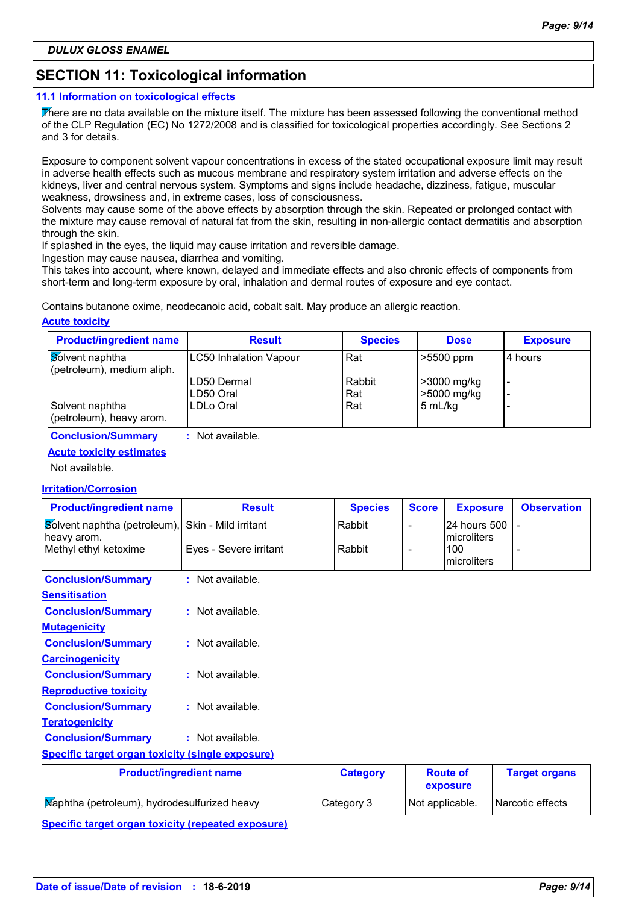# **SECTION 11: Toxicological information**

### **11.1 Information on toxicological effects**

There are no data available on the mixture itself. The mixture has been assessed following the conventional method of the CLP Regulation (EC) No 1272/2008 and is classified for toxicological properties accordingly. See Sections 2 and 3 for details.

Exposure to component solvent vapour concentrations in excess of the stated occupational exposure limit may result in adverse health effects such as mucous membrane and respiratory system irritation and adverse effects on the kidneys, liver and central nervous system. Symptoms and signs include headache, dizziness, fatigue, muscular weakness, drowsiness and, in extreme cases, loss of consciousness.

Solvents may cause some of the above effects by absorption through the skin. Repeated or prolonged contact with the mixture may cause removal of natural fat from the skin, resulting in non-allergic contact dermatitis and absorption through the skin.

If splashed in the eyes, the liquid may cause irritation and reversible damage.

Ingestion may cause nausea, diarrhea and vomiting.

This takes into account, where known, delayed and immediate effects and also chronic effects of components from short-term and long-term exposure by oral, inhalation and dermal routes of exposure and eye contact.

Contains butanone oxime, neodecanoic acid, cobalt salt. May produce an allergic reaction.

### **Acute toxicity**

| <b>Product/ingredient name</b>                | <b>Result</b>                 | <b>Species</b> | <b>Dose</b>                | <b>Exposure</b> |
|-----------------------------------------------|-------------------------------|----------------|----------------------------|-----------------|
| Solvent naphtha<br>(petroleum), medium aliph. | <b>LC50 Inhalation Vapour</b> | Rat            | $>5500$ ppm                | 4 hours         |
|                                               | LD50 Dermal<br>LD50 Oral      | Rabbit<br>Rat  | >3000 mg/kg<br>>5000 mg/kg | -<br>-          |
| Solvent naphtha<br>(petroleum), heavy arom.   | LDLo Oral                     | Rat            | 5 mL/kg                    |                 |

**Conclusion/Summary :** Not available.

### **Acute toxicity estimates**

Not available.

### **Irritation/Corrosion**

| <b>Product/ingredient name</b>                          | <b>Result</b>                  | <b>Species</b>  | <b>Score</b>             | <b>Exposure</b>                   | <b>Observation</b>   |
|---------------------------------------------------------|--------------------------------|-----------------|--------------------------|-----------------------------------|----------------------|
| Solvent naphtha (petroleum),                            | Skin - Mild irritant           | Rabbit          | $\blacksquare$           | 24 hours 500                      |                      |
| heavy arom.<br>Methyl ethyl ketoxime                    | Eyes - Severe irritant         | Rabbit          | $\overline{\phantom{a}}$ | microliters<br>100<br>microliters |                      |
| <b>Conclusion/Summary</b>                               | : Not available.               |                 |                          |                                   |                      |
| <b>Sensitisation</b>                                    |                                |                 |                          |                                   |                      |
| <b>Conclusion/Summary</b>                               | $:$ Not available.             |                 |                          |                                   |                      |
| <b>Mutagenicity</b>                                     |                                |                 |                          |                                   |                      |
| <b>Conclusion/Summary</b>                               | $:$ Not available.             |                 |                          |                                   |                      |
| <b>Carcinogenicity</b>                                  |                                |                 |                          |                                   |                      |
| <b>Conclusion/Summary</b>                               | $:$ Not available.             |                 |                          |                                   |                      |
| <b>Reproductive toxicity</b>                            |                                |                 |                          |                                   |                      |
| <b>Conclusion/Summary</b>                               | $:$ Not available.             |                 |                          |                                   |                      |
| <b>Teratogenicity</b>                                   |                                |                 |                          |                                   |                      |
| <b>Conclusion/Summary</b>                               | : Not available.               |                 |                          |                                   |                      |
| <b>Specific target organ toxicity (single exposure)</b> |                                |                 |                          |                                   |                      |
|                                                         | <b>Product/ingredient name</b> | <b>Category</b> |                          | <b>Route of</b><br>exposure       | <b>Target organs</b> |

| $\ldots$                                     |            | exposure        | <u>ranger organis</u> |
|----------------------------------------------|------------|-----------------|-----------------------|
| Maphtha (petroleum), hydrodesulfurized heavy | Category 3 | Not applicable. | Narcotic effects      |
|                                              |            |                 |                       |

**Specific target organ toxicity (repeated exposure)**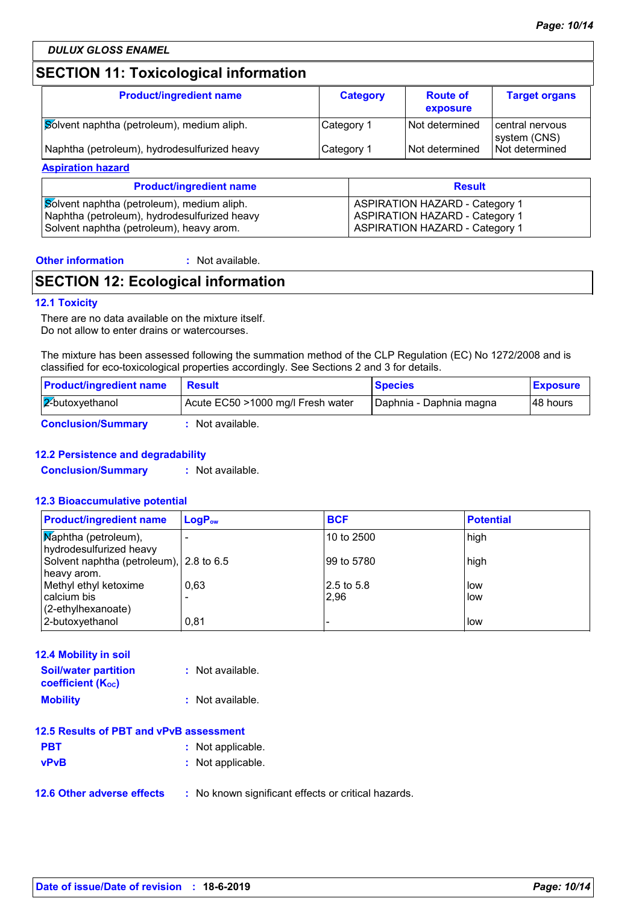# **SECTION 11: Toxicological information**

| <b>Product/ingredient name</b>               | <b>Category</b> | <b>Route of</b><br>exposure | <b>Target organs</b>              |
|----------------------------------------------|-----------------|-----------------------------|-----------------------------------|
| Solvent naphtha (petroleum), medium aliph.   | Category 1      | I Not determined            | l central nervous<br>system (CNS) |
| Naphtha (petroleum), hydrodesulfurized heavy | Category 1      | I Not determined            | l Not determined                  |

| <b>Product/ingredient name</b>               | <b>Result</b>                         |
|----------------------------------------------|---------------------------------------|
| Solvent naphtha (petroleum), medium aliph.   | <b>ASPIRATION HAZARD - Category 1</b> |
| Naphtha (petroleum), hydrodesulfurized heavy | <b>ASPIRATION HAZARD - Category 1</b> |
| Solvent naphtha (petroleum), heavy arom.     | <b>ASPIRATION HAZARD - Category 1</b> |

**Other information :**

: Not available.

# **SECTION 12: Ecological information**

### **12.1 Toxicity**

There are no data available on the mixture itself. Do not allow to enter drains or watercourses.

The mixture has been assessed following the summation method of the CLP Regulation (EC) No 1272/2008 and is classified for eco-toxicological properties accordingly. See Sections 2 and 3 for details.

| <b>Product/ingredient name</b> | <b>Result</b>                     | <b>Species</b>            | <b>Exposure</b> |
|--------------------------------|-----------------------------------|---------------------------|-----------------|
| $\sqrt{2}$ butoxyethanol       | Acute EC50 >1000 mg/l Fresh water | I Daphnia - Daphnia magna | 148 hours       |
| <b>Conclusion/Summary</b>      | : Not available.                  |                           |                 |

### **12.2 Persistence and degradability**

**Conclusion/Summary :** Not available.

### **12.3 Bioaccumulative potential**

| <b>Product/ingredient name</b>                         | $LogP_{ow}$ | <b>BCF</b> | <b>Potential</b> |
|--------------------------------------------------------|-------------|------------|------------------|
| Maphtha (petroleum),<br>hydrodesulfurized heavy        |             | 10 to 2500 | high             |
| Solvent naphtha (petroleum), 2.8 to 6.5<br>heavy arom. |             | 99 to 5780 | high             |
| Methyl ethyl ketoxime                                  | 0.63        | 2.5 to 5.8 | low              |
| calcium bis                                            |             | 2,96       | low              |
| (2-ethylhexanoate)                                     |             |            |                  |
| 2-butoxyethanol                                        | 0.81        |            | low              |

| <b>12.4 Mobility in soil</b>                            |                  |
|---------------------------------------------------------|------------------|
| <b>Soil/water partition</b><br><b>coefficient (Koc)</b> | : Not available. |
| <b>Mobility</b>                                         | : Not available. |

| 12.5 Results of PBT and vPvB assessment |                   |  |
|-----------------------------------------|-------------------|--|
| <b>PBT</b>                              | : Not applicable. |  |
| <b>vPvB</b>                             | : Not applicable. |  |

**12.6 Other adverse effects** : No known significant effects or critical hazards.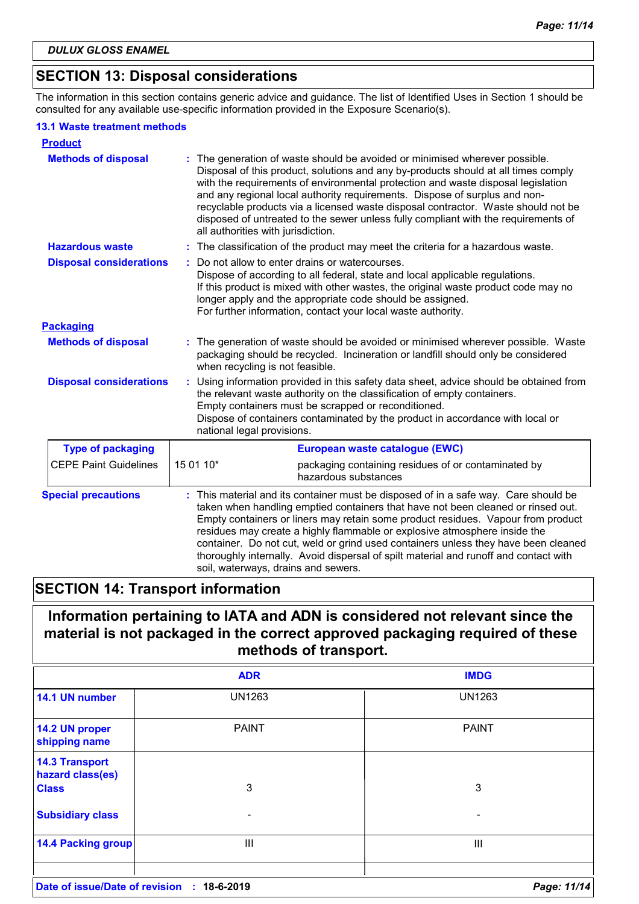# **SECTION 13: Disposal considerations**

The information in this section contains generic advice and guidance. The list of Identified Uses in Section 1 should be consulted for any available use-specific information provided in the Exposure Scenario(s).

### **13.1 Waste treatment methods**

| <b>Product</b>                 |                                                                                                                                                                                                                                                                                                                                                                                                                                                                                                                                                             |
|--------------------------------|-------------------------------------------------------------------------------------------------------------------------------------------------------------------------------------------------------------------------------------------------------------------------------------------------------------------------------------------------------------------------------------------------------------------------------------------------------------------------------------------------------------------------------------------------------------|
| <b>Methods of disposal</b>     | The generation of waste should be avoided or minimised wherever possible.<br>Disposal of this product, solutions and any by-products should at all times comply<br>with the requirements of environmental protection and waste disposal legislation<br>and any regional local authority requirements. Dispose of surplus and non-<br>recyclable products via a licensed waste disposal contractor. Waste should not be<br>disposed of untreated to the sewer unless fully compliant with the requirements of<br>all authorities with jurisdiction.          |
| <b>Hazardous waste</b>         | The classification of the product may meet the criteria for a hazardous waste.                                                                                                                                                                                                                                                                                                                                                                                                                                                                              |
| <b>Disposal considerations</b> | Do not allow to enter drains or watercourses.<br>Dispose of according to all federal, state and local applicable regulations.<br>If this product is mixed with other wastes, the original waste product code may no<br>longer apply and the appropriate code should be assigned.<br>For further information, contact your local waste authority.                                                                                                                                                                                                            |
| <b>Packaging</b>               |                                                                                                                                                                                                                                                                                                                                                                                                                                                                                                                                                             |
| <b>Methods of disposal</b>     | : The generation of waste should be avoided or minimised wherever possible. Waste<br>packaging should be recycled. Incineration or landfill should only be considered<br>when recycling is not feasible.                                                                                                                                                                                                                                                                                                                                                    |
| <b>Disposal considerations</b> | Using information provided in this safety data sheet, advice should be obtained from<br>the relevant waste authority on the classification of empty containers.<br>Empty containers must be scrapped or reconditioned.<br>Dispose of containers contaminated by the product in accordance with local or<br>national legal provisions.                                                                                                                                                                                                                       |
| <b>Type of packaging</b>       | European waste catalogue (EWC)                                                                                                                                                                                                                                                                                                                                                                                                                                                                                                                              |
| <b>CEPE Paint Guidelines</b>   | 15 01 10*<br>packaging containing residues of or contaminated by<br>hazardous substances                                                                                                                                                                                                                                                                                                                                                                                                                                                                    |
| <b>Special precautions</b>     | This material and its container must be disposed of in a safe way. Care should be<br>taken when handling emptied containers that have not been cleaned or rinsed out.<br>Empty containers or liners may retain some product residues. Vapour from product<br>residues may create a highly flammable or explosive atmosphere inside the<br>container. Do not cut, weld or grind used containers unless they have been cleaned<br>thoroughly internally. Avoid dispersal of spilt material and runoff and contact with<br>soil, waterways, drains and sewers. |

# **SECTION 14: Transport information**

# **Information pertaining to IATA and ADN is considered not relevant since the material is not packaged in the correct approved packaging required of these methods of transport.**

|                                            | <b>ADR</b>    | <b>IMDG</b>   |
|--------------------------------------------|---------------|---------------|
| 14.1 UN number                             | <b>UN1263</b> | <b>UN1263</b> |
| 14.2 UN proper<br>shipping name            | <b>PAINT</b>  | <b>PAINT</b>  |
| <b>14.3 Transport</b><br>hazard class(es)  |               |               |
| <b>Class</b>                               | 3             | 3             |
| <b>Subsidiary class</b>                    | -             | -             |
| <b>14.4 Packing group</b>                  | Ш             | Ш             |
| Date of issue/Date of revision : 18-6-2019 |               | Page: 11/14   |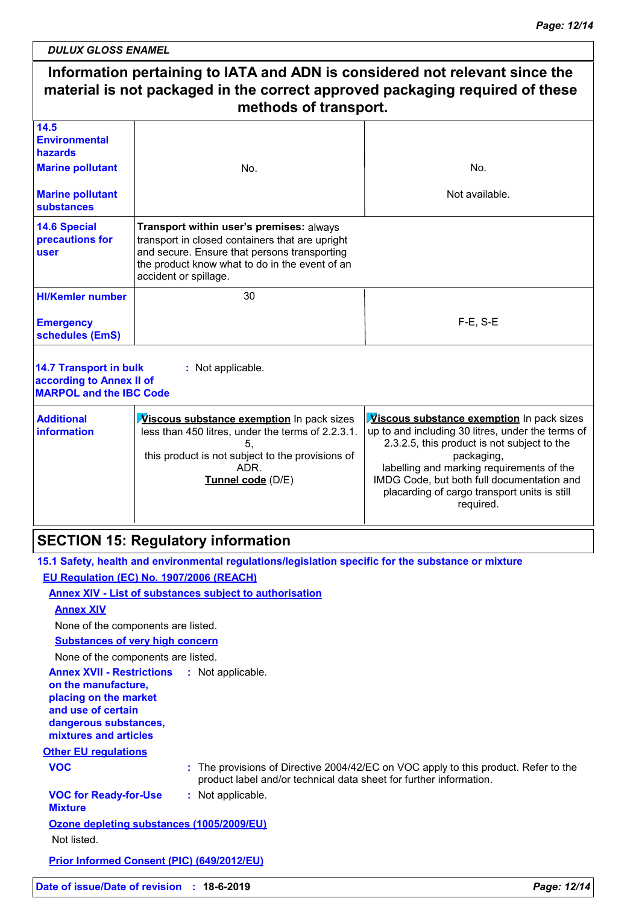*DULUX GLOSS ENAMEL*

#### **Information pertaining to IATA and ADN is considered not relevant since the material is not packaged in the correct approved packaging required of these methods of transport.** 30 F-E, S-E **HI/Kemler number 14.5 Environmental hazards 14.6 Special precautions for user Emergency schedules (EmS) Marine pollutant Marine pollutant substances** No. Not available. No. **Transport within user's premises:** always transport in closed containers that are upright and secure. Ensure that persons transporting the product know what to do in the event of an accident or spillage.

### **14.7 Transport in bulk according to Annex II of MARPOL and the IBC Code**

| <b>Additional</b><br><b>linformation</b> | <b>Viscous substance exemption</b> In pack sizes<br>less than 450 litres, under the terms of 2.2.3.1. | <b>Viscous substance exemption</b> In pack sizes<br>up to and including 30 litres, under the terms of<br>2.3.2.5, this product is not subject to the |
|------------------------------------------|-------------------------------------------------------------------------------------------------------|------------------------------------------------------------------------------------------------------------------------------------------------------|
|                                          | this product is not subject to the provisions of                                                      | packaging,                                                                                                                                           |
|                                          | ADR.                                                                                                  | labelling and marking requirements of the                                                                                                            |
|                                          | Tunnel code (D/E)                                                                                     | IMDG Code, but both full documentation and<br>placarding of cargo transport units is still<br>required.                                              |
|                                          |                                                                                                       |                                                                                                                                                      |

# **SECTION 15: Regulatory information**

**:** Not applicable.

|                                                                                                                                                                            | 15.1 Safety, health and environmental regulations/legislation specific for the substance or mixture                                                       |
|----------------------------------------------------------------------------------------------------------------------------------------------------------------------------|-----------------------------------------------------------------------------------------------------------------------------------------------------------|
| EU Requiation (EC) No. 1907/2006 (REACH)                                                                                                                                   |                                                                                                                                                           |
| <b>Annex XIV - List of substances subject to authorisation</b>                                                                                                             |                                                                                                                                                           |
| <b>Annex XIV</b>                                                                                                                                                           |                                                                                                                                                           |
| None of the components are listed.                                                                                                                                         |                                                                                                                                                           |
| <b>Substances of very high concern</b>                                                                                                                                     |                                                                                                                                                           |
| None of the components are listed.                                                                                                                                         |                                                                                                                                                           |
| <b>Annex XVII - Restrictions : Not applicable.</b><br>on the manufacture,<br>placing on the market<br>and use of certain<br>dangerous substances,<br>mixtures and articles |                                                                                                                                                           |
| <b>Other EU regulations</b>                                                                                                                                                |                                                                                                                                                           |
| <b>VOC</b>                                                                                                                                                                 | : The provisions of Directive 2004/42/EC on VOC apply to this product. Refer to the<br>product label and/or technical data sheet for further information. |
| <b>VOC for Ready-for-Use</b><br><b>Mixture</b>                                                                                                                             | : Not applicable.                                                                                                                                         |
| Ozone depleting substances (1005/2009/EU)<br>Not listed.                                                                                                                   |                                                                                                                                                           |
| <b>Prior Informed Consent (PIC) (649/2012/EU)</b>                                                                                                                          |                                                                                                                                                           |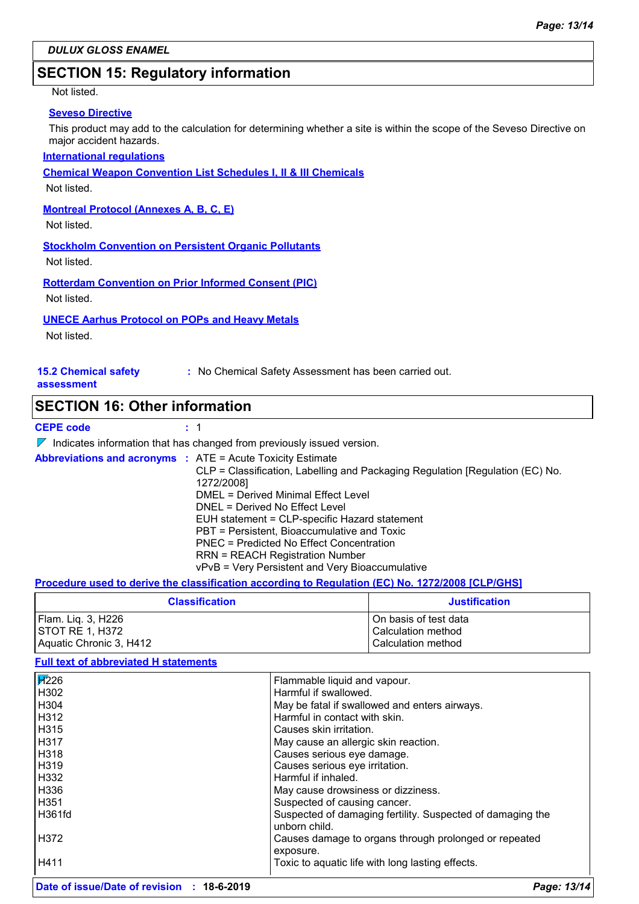# **SECTION 15: Regulatory information**

### Not listed.

### **Seveso Directive**

This product may add to the calculation for determining whether a site is within the scope of the Seveso Directive on major accident hazards.

### **International regulations**

**Chemical Weapon Convention List Schedules I, II & III Chemicals**

Not listed.

### **Montreal Protocol (Annexes A, B, C, E)**

Not listed.

**Stockholm Convention on Persistent Organic Pollutants**

Not listed.

**Rotterdam Convention on Prior Informed Consent (PIC)**

Not listed.

### **UNECE Aarhus Protocol on POPs and Heavy Metals**

Not listed.

| <b>15.2 Chemical safety</b> | : No Chemical Safety Assessment has been carried out. |
|-----------------------------|-------------------------------------------------------|
| assessment                  |                                                       |

### **SECTION 16: Other information**

### **CEPE code**

 $\nabla$  Indicates information that has changed from previously issued version.

| <b>Abbreviations and acronyms : ATE = Acute Toxicity Estimate</b> | CLP = Classification, Labelling and Packaging Regulation [Regulation (EC) No.<br>1272/2008]<br>DMEL = Derived Minimal Effect Level<br>DNEL = Derived No Effect Level<br>EUH statement = CLP-specific Hazard statement<br>PBT = Persistent, Bioaccumulative and Toxic<br>PNEC = Predicted No Effect Concentration |
|-------------------------------------------------------------------|------------------------------------------------------------------------------------------------------------------------------------------------------------------------------------------------------------------------------------------------------------------------------------------------------------------|
|                                                                   | <b>RRN = REACH Registration Number</b><br>vPvB = Very Persistent and Very Bioaccumulative                                                                                                                                                                                                                        |

**Procedure used to derive the classification according to Regulation (EC) No. 1272/2008 [CLP/GHS]**

| <b>Classification</b>   | <b>Justification</b>    |
|-------------------------|-------------------------|
| Flam. Lig. 3, H226      | l On basis of test data |
| ISTOT RE 1. H372        | l Calculation method    |
| Aquatic Chronic 3, H412 | l Calculation method    |

### **Full text of abbreviated H statements**

| <b>F</b> 226    | Flammable liquid and vapour.                                                |
|-----------------|-----------------------------------------------------------------------------|
| H302            | Harmful if swallowed.                                                       |
| H304            | May be fatal if swallowed and enters airways.                               |
| H312            | Harmful in contact with skin.                                               |
| H315            | Causes skin irritation.                                                     |
| H317            | May cause an allergic skin reaction.                                        |
| H318            | Causes serious eye damage.                                                  |
| H319            | Causes serious eye irritation.                                              |
| H332            | Harmful if inhaled.                                                         |
| H336            | May cause drowsiness or dizziness.                                          |
| H351            | Suspected of causing cancer.                                                |
| H361fd          | Suspected of damaging fertility. Suspected of damaging the<br>unborn child. |
| H372            | Causes damage to organs through prolonged or repeated                       |
|                 | exposure.                                                                   |
| H411            | Toxic to aquatic life with long lasting effects.                            |
| ___<br>$\cdots$ |                                                                             |